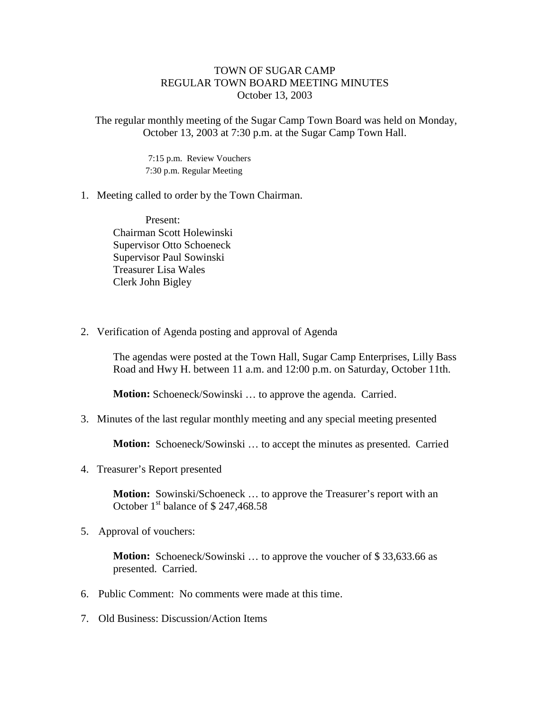## TOWN OF SUGAR CAMP REGULAR TOWN BOARD MEETING MINUTES October 13, 2003

The regular monthly meeting of the Sugar Camp Town Board was held on Monday, October 13, 2003 at 7:30 p.m. at the Sugar Camp Town Hall.

> 7:15 p.m. Review Vouchers 7:30 p.m. Regular Meeting

## 1. Meeting called to order by the Town Chairman.

Present: Chairman Scott Holewinski Supervisor Otto Schoeneck Supervisor Paul Sowinski Treasurer Lisa Wales Clerk John Bigley

2. Verification of Agenda posting and approval of Agenda

The agendas were posted at the Town Hall, Sugar Camp Enterprises, Lilly Bass Road and Hwy H. between 11 a.m. and 12:00 p.m. on Saturday, October 11th.

**Motion:** Schoeneck/Sowinski ... to approve the agenda. Carried.

3. Minutes of the last regular monthly meeting and any special meeting presented

**Motion:** Schoeneck/Sowinski … to accept the minutes as presented. Carried

4. Treasurer's Report presented

**Motion:** Sowinski/Schoeneck ... to approve the Treasurer's report with an October  $1<sup>st</sup>$  balance of \$ 247,468.58

5. Approval of vouchers:

**Motion:** Schoeneck/Sowinski ... to approve the voucher of \$33,633.66 as presented. Carried.

- 6. Public Comment: No comments were made at this time.
- 7. Old Business: Discussion/Action Items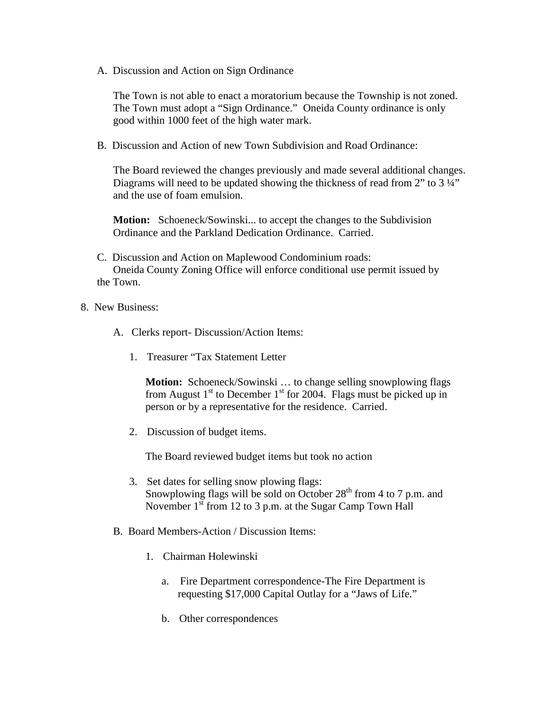A. Discussion and Action on Sign Ordinance

The Town is not able to enact a moratorium because the Township is not zoned. The Town must adopt a "Sign Ordinance." Oneida County ordinance is only good within 1000 feet of the high water mark.

B. Discussion and Action of new Town Subdivision and Road Ordinance:

The Board reviewed the changes previously and made several additional changes. Diagrams will need to be updated showing the thickness of read from 2" to 3  $\frac{1}{4}$ " and the use of foam emulsion.

**Motion:** Schoeneck/Sowinski... to accept the changes to the Subdivision Ordinance and the Parkland Dedication Ordinance. Carried.

- C. Discussion and Action on Maplewood Condominium roads: Oneida County Zoning Office will enforce conditional use permit issued by the Town.
- 8. New Business:
	- A. Clerks report- Discussion/Action Items:
		- 1. Treasurer "Tax Statement Letter

**Motion:** Schoeneck/Sowinski ... to change selling snowplowing flags from August  $1<sup>st</sup>$  to December  $1<sup>st</sup>$  for 2004. Flags must be picked up in person or by a representative for the residence. Carried.

2. Discussion of budget items.

The Board reviewed budget items but took no action

- 3. Set dates for selling snow plowing flags: Snowplowing flags will be sold on October  $28<sup>th</sup>$  from 4 to 7 p.m. and November  $1<sup>st</sup>$  from 12 to 3 p.m. at the Sugar Camp Town Hall
- B. Board Members-Action / Discussion Items:
	- 1. Chairman Holewinski
		- a. Fire Department correspondence-The Fire Department is requesting \$17,000 Capital Outlay for a "Jaws of Life."
		- b. Other correspondences